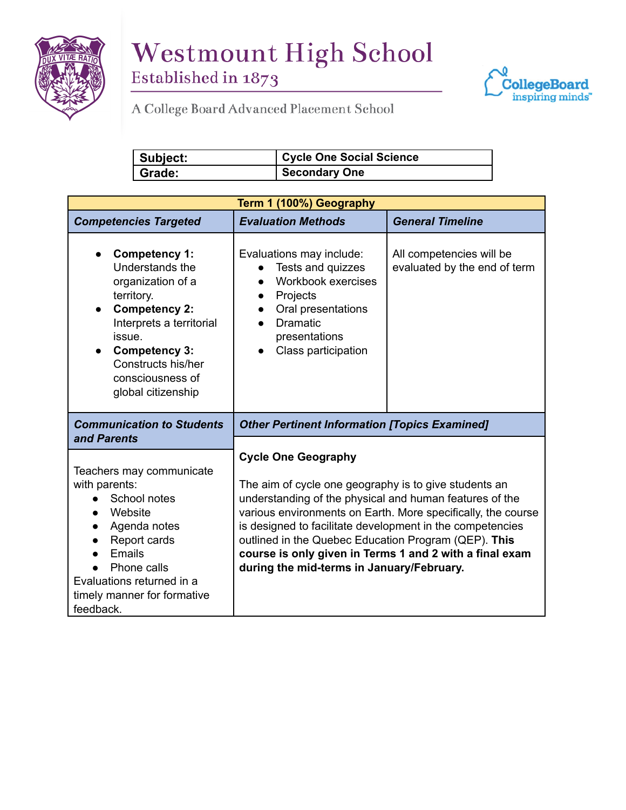

## **Westmount High School**

Established in 1873



 $A$  College Board Advanced Placement School

| Subject: | Cycle One Social Science |
|----------|--------------------------|
| Grade:   | <b>Secondary One</b>     |

| Term 1 (100%) Geography                                                                                                                                                                                                                       |                                                                                                                                                                                                                                                                                                                                                                                                                                             |                                                          |  |
|-----------------------------------------------------------------------------------------------------------------------------------------------------------------------------------------------------------------------------------------------|---------------------------------------------------------------------------------------------------------------------------------------------------------------------------------------------------------------------------------------------------------------------------------------------------------------------------------------------------------------------------------------------------------------------------------------------|----------------------------------------------------------|--|
| <b>Competencies Targeted</b>                                                                                                                                                                                                                  | <b>Evaluation Methods</b>                                                                                                                                                                                                                                                                                                                                                                                                                   | <b>General Timeline</b>                                  |  |
| <b>Competency 1:</b><br>Understands the<br>organization of a<br>territory.<br><b>Competency 2:</b><br>$\bullet$<br>Interprets a territorial<br>issue.<br><b>Competency 3:</b><br>Constructs his/her<br>consciousness of<br>global citizenship | Evaluations may include:<br>Tests and quizzes<br>Workbook exercises<br>Projects<br>$\bullet$<br>Oral presentations<br>$\bullet$<br><b>Dramatic</b><br>presentations<br>Class participation<br>$\bullet$                                                                                                                                                                                                                                     | All competencies will be<br>evaluated by the end of term |  |
| <b>Communication to Students</b><br>and Parents                                                                                                                                                                                               | <b>Other Pertinent Information [Topics Examined]</b>                                                                                                                                                                                                                                                                                                                                                                                        |                                                          |  |
| Teachers may communicate<br>with parents:<br>School notes<br>Website<br>Agenda notes<br>$\bullet$<br>Report cards<br>Emails<br>Phone calls<br>Evaluations returned in a<br>timely manner for formative<br>feedback.                           | <b>Cycle One Geography</b><br>The aim of cycle one geography is to give students an<br>understanding of the physical and human features of the<br>various environments on Earth. More specifically, the course<br>is designed to facilitate development in the competencies<br>outlined in the Quebec Education Program (QEP). This<br>course is only given in Terms 1 and 2 with a final exam<br>during the mid-terms in January/February. |                                                          |  |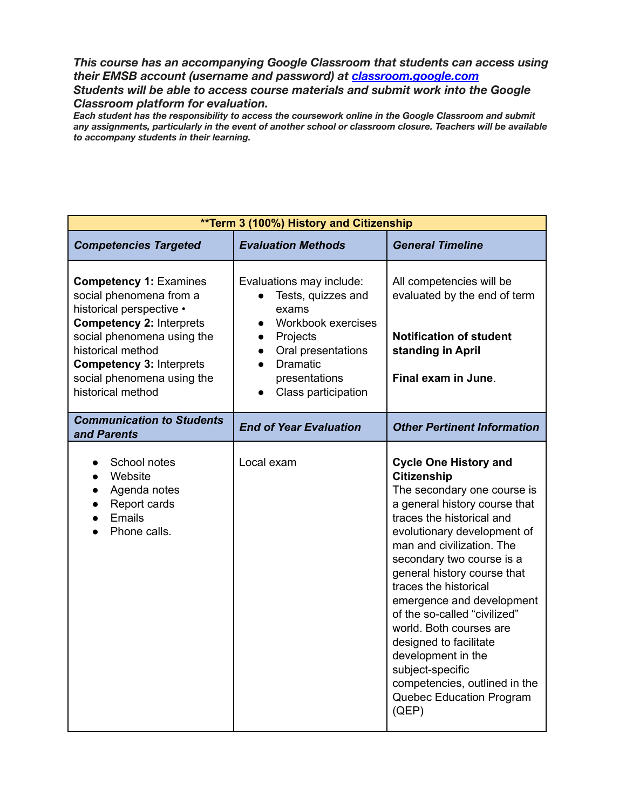*This course has an accompanying Google Classroom that students can access using their EMSB account (username and password) at [classroom.google.com](http://classroom.google.com/) Students will be able to access course materials and submit work into the Google Classroom platform for evaluation.*

*Each student has the responsibility to access the coursework online in the Google Classroom and submit any assignments, particularly in the event of another school or classroom closure. Teachers will be available to accompany students in their learning.*

| **Term 3 (100%) History and Citizenship                                                                                                                                                                                                                          |                                                                                                                                                                                                            |                                                                                                                                                                                                                                                                                                                                                                                                                                                                                                                                    |  |
|------------------------------------------------------------------------------------------------------------------------------------------------------------------------------------------------------------------------------------------------------------------|------------------------------------------------------------------------------------------------------------------------------------------------------------------------------------------------------------|------------------------------------------------------------------------------------------------------------------------------------------------------------------------------------------------------------------------------------------------------------------------------------------------------------------------------------------------------------------------------------------------------------------------------------------------------------------------------------------------------------------------------------|--|
| <b>Competencies Targeted</b>                                                                                                                                                                                                                                     | <b>Evaluation Methods</b>                                                                                                                                                                                  | <b>General Timeline</b>                                                                                                                                                                                                                                                                                                                                                                                                                                                                                                            |  |
| <b>Competency 1: Examines</b><br>social phenomena from a<br>historical perspective •<br><b>Competency 2: Interprets</b><br>social phenomena using the<br>historical method<br><b>Competency 3: Interprets</b><br>social phenomena using the<br>historical method | Evaluations may include:<br>Tests, quizzes and<br>exams<br>Workbook exercises<br>$\bullet$<br>Projects<br>$\bullet$<br>Oral presentations<br>$\bullet$<br>Dramatic<br>presentations<br>Class participation | All competencies will be<br>evaluated by the end of term<br><b>Notification of student</b><br>standing in April<br>Final exam in June.                                                                                                                                                                                                                                                                                                                                                                                             |  |
| <b>Communication to Students</b><br>and Parents                                                                                                                                                                                                                  | <b>End of Year Evaluation</b>                                                                                                                                                                              | <b>Other Pertinent Information</b>                                                                                                                                                                                                                                                                                                                                                                                                                                                                                                 |  |
| School notes<br>Website<br>$\bullet$<br>Agenda notes<br>Report cards<br>Emails<br>Phone calls.                                                                                                                                                                   | Local exam                                                                                                                                                                                                 | <b>Cycle One History and</b><br><b>Citizenship</b><br>The secondary one course is<br>a general history course that<br>traces the historical and<br>evolutionary development of<br>man and civilization. The<br>secondary two course is a<br>general history course that<br>traces the historical<br>emergence and development<br>of the so-called "civilized"<br>world. Both courses are<br>designed to facilitate<br>development in the<br>subject-specific<br>competencies, outlined in the<br>Quebec Education Program<br>(QEP) |  |